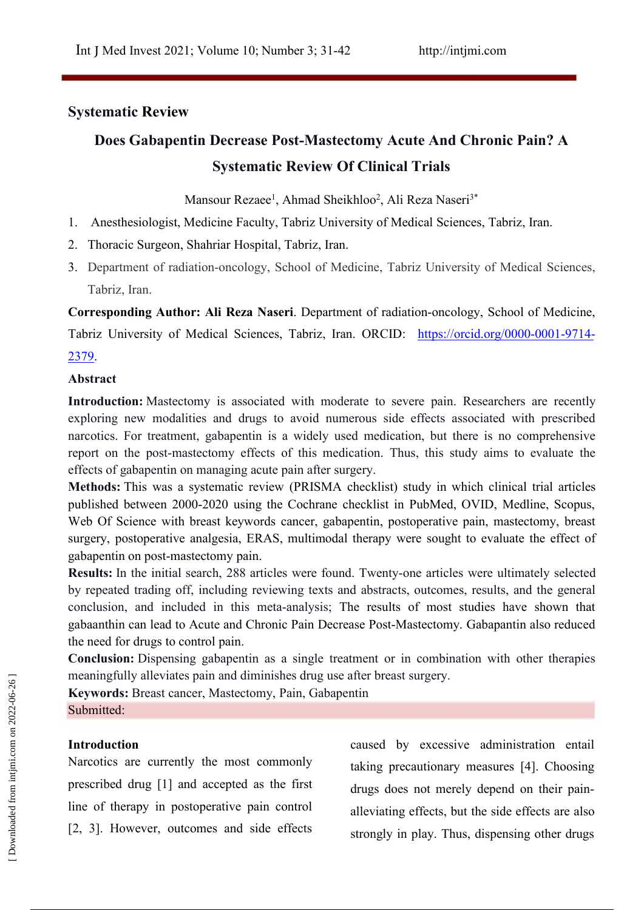# **Systematic Review**

# **Does Gabapentin Decrease Post-Mastectomy Acute And Chronic Pain? A Systematic Review Of Clinical Trials**

Mansour Rezaee 1 , Ahmad Sheikhloo 2 , Ali Reza Naseri3\*

- 1. Anesthesiologist, Medicine Faculty, Tabriz University of Medical Sciences, Tabriz, Iran.
- 2. Thoracic Surgeon, Shahriar Hospital, Tabriz, Iran.
- 3. Department of radiation-oncology, School of Medicine, Tabriz University of Medical Sciences, Tabriz, Iran.

**Corresponding Author: Ali Reza Naseri**. Department of radiation-oncology, School of Medicine,

Tabriz University of Medical Sciences, Tabriz, Iran. ORCID: https://orcid.org/0000-0001-9714-2379.

#### **Abstract**

Introduction: Mastectomy is associated with moderate to severe pain. Researchers are recently exploring new modalities and drugs to avoid numerous side effects associated with prescribed narcotics. For treatment, gabapentin is a widely used medication, but there is no comprehensive report on the post-mastectomy effects of this medication. Thus, this study aims to evaluate the effects of gabapentin on managing acute pain after surgery.

**Methods:** This was a systematic review (PRISMA checklist) study in which clinical trial articles published between 2000-2020 using the Cochrane checklist in PubMed, OVID, Medline, Scopus, Web Of Science with breast keywords cancer, gabapentin, postoperative pain, mastectomy, breast surgery, postoperative analgesia, ERAS, multimodal therapy were sought to evaluate the effect of gabapentin on post-mastectomy pain.

Results: In the initial search, 288 articles were found. Twenty-one articles were ultimately selected by repeated trading off, including reviewing texts and abstracts, outcomes, results, and the general conclusion, and included in this meta-analysis; The results of most studies have shown that gabaanthin can lead to Acute and Chronic Pain Decrease Post-Mastectomy. Gabapantin also reduced the need for drugs to control pain.

**Conclusion:** Dispensing gabapentin as a single treatment or in combination with other therapies meaningfully alleviates pain and diminishes drug use after breast surgery.

**Keywords:** Breast cancer, Mastectomy, Pain, Gabapentin

Submitted:

## **Introduction**

Narcotics are currently the most commonly prescribed drug [1] and accepted as the first line of therapy in postoperative pain control

[2, 3]. However, outcomes and side effects strongly in play. Thus, dispensing other drugs caused by excessive administration entail taking precautionary measures [4]. Choosing drugs does not merely depend on their pain alleviating effects, but the side effects are also meaningfully alleviates pain and diminishes drug use after breast surgery.<br> **Submitted:**<br> **Submitted:**<br> **Submitted:**<br> **Submitted:**<br> **Submitted:**<br> **Submitted:**<br> **Submitted:**<br> **Submitted:**<br> **Submitted:**<br> **Submitted:**<br> **Submi**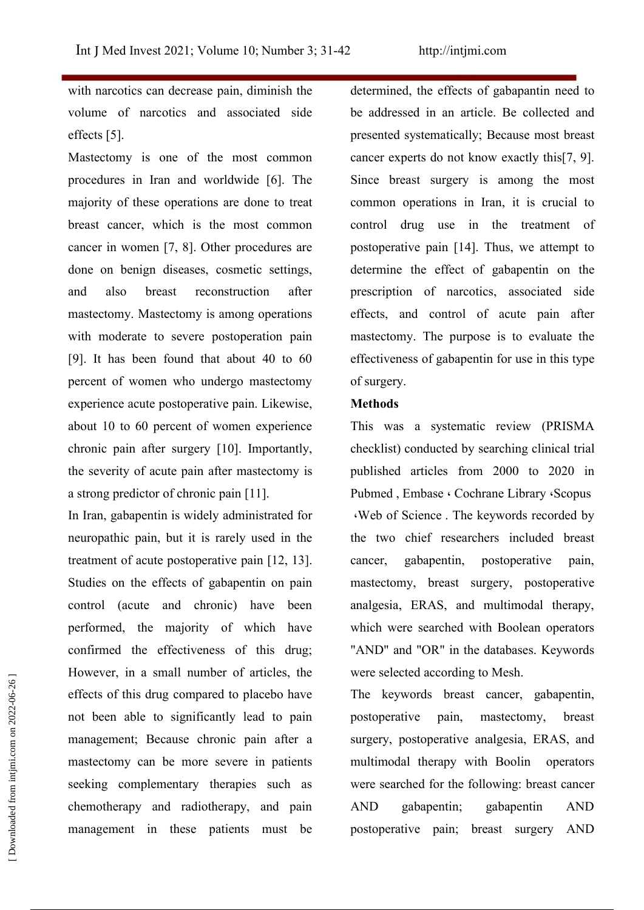with narcotics can decrease pain, diminish the volume of narcotics and associated side effects [5].

Mastectomy is one of the most common procedures in Iran and worldwide [6]. The majority of these operations are done to treat breast cancer, which is the most common cancer in women [7, 8]. Other procedures are done on benign diseases, cosmetic settings, and also breast reconstruction after mastectomy. Mastectomy is among operations with moderate to severe postoperation pain [9]. It has been found that about 40 to  $60$ percent of women who undergo mastectomy experience acute postoperative pain. Likewise, about 10 to 60 percent of women experience chronic pain after surgery [10]. Importantly, the severity of acute pain after mastectomy is a strong predictor of chronic pain [11].

In Iran, gabapentin is widely administrated for neuropathic pain, but it is rarely used in the treatment of acute postoperative pain [12, 13]. cancer, Studies on the effects of gabapentin on pain control (acute and chronic) have been performed, the majority of which have confirmed the effectiveness of this drug; However, in a small number of articles, the effects of this drug compared to placebo have not been able to significantly lead to pain management; Because chronic pain after a mastectomy can be more severe in patients seeking complementary therapies such as chemotherapy and radiotherapy, and pain management in these patients must be postoperative pain; breast surgery AND prowever, in a small number of articles, the were selected according to Mesh.<br>
effects of this drug compared to placebo have The keywords breast cancer, gabapentin,<br>
not been able to significantly lead to pain postoperativ

determined, the effects of gabapantin need to be addressed in an article. Be collected and presented systematically; Because most breast cancer experts do not know exactly this[7, 9]. Since breast surgery is among the most common operations in Iran, it is crucial to control drug use in the treatment of postoperative pain [14]. Thus, we attempt to determine the effect of gabapentin on the prescription of narcotics, associated side effects, and control of acute pain after mastectomy. The purpose is to evaluate the effectiveness of gabapentin for use in this type of surgery.

#### **Methods**

This was a systematic review (PRISMA checklist) conducted by searching clinical trial published articles from 2000 to 2020 in Pubmed, Embase . Cochrane Library . Scopus Web of Science . The keywords recorded by the two chief researchers included breast gabapentin, postoperative pain, mastectomy, breast surgery, postoperative analgesia, ERAS, and multimodal therapy, which were searched with Boolean operators "AND" and "OR" in the databases. Keywords were selected according to Mesh.

The keywords breast cancer, gabapentin, postoperative pain, mastectomy, breast surgery, postoperative analgesia, ERAS, and multimodal therapy with Boolin operators were searched for the following: breast cancer AND gabapentin; gabapentin AND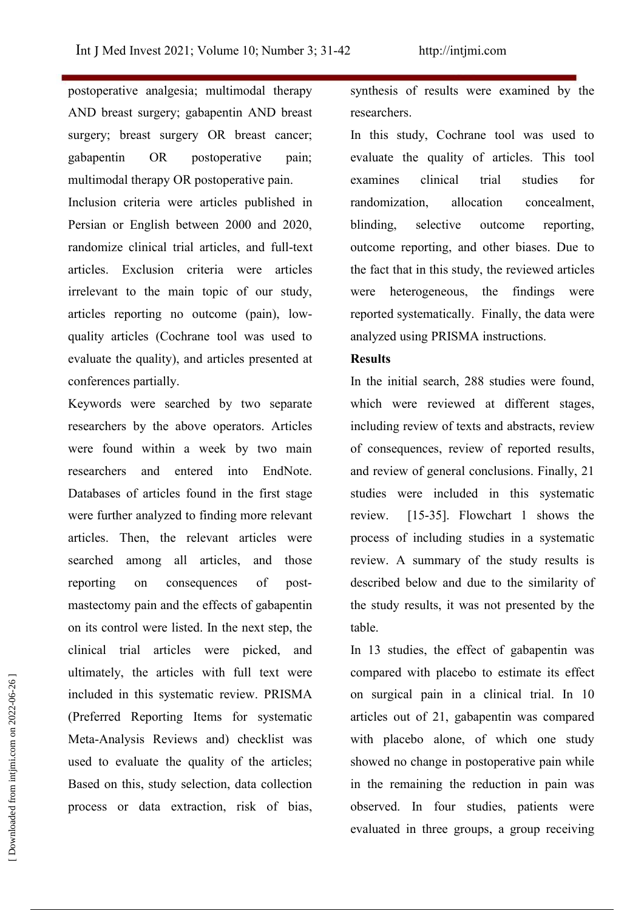postoperative analgesia; multimodal therapy AND breast surgery; gabapentin AND breast surgery; breast surgery OR breast cancer; gabapentin OR postoperative pain; multimodal therapy OR postoperative pain.

Inclusion criteria were articles published in Persian or English between 2000 and 2020, randomize clinical trial articles, and full-text articles. Exclusion criteria were articles irrelevant to the main topic of our study, articles reporting no outcome (pain), low quality articles (Cochrane tool was used to evaluate the quality), and articles presented at conferences partially.

Keywords were searched by two separate researchers by the above operators. Articles were found within a week by two main researchers and entered into EndNote. Databases of articles found in the first stage were further analyzed to finding more relevant review. articles. Then, the relevant articles were searched among all articles, and those reporting on consequences of post mastectomy pain and the effects of gabapentin on its control were listed. In the next step, the clinical trial articles were picked, and ultimately, the articles with full text were included in this systematic review. PRISMA (Preferred Reporting Items for systematic Meta-Analysis Reviews and) checklist was used to evaluate the quality of the articles; Based on this, study selection, data collection process or data extraction, risk of bias,

synthesis of results were examined by the researchers.

In this study, Cochrane tool was used to evaluate the quality of articles. This tool examines clinical trial studies for randomization, allocation concealment, selective outcome reporting, outcome reporting, and other biases. Due to the fact that in this study, the reviewed articles were heterogeneous, the findings were reported systematically. Finally, the data were analyzed using PRISMA instructions.

#### **Results**

In the initial search, 288 studies were found, which were reviewed at different stages, including review of texts and abstracts, review of consequences, review of reported results, and review of general conclusions. Finally, 21 studies were included in this systematic [15-35]. Flowchart 1 shows the process of including studies in a systematic review. A summary of the study results is described below and due to the similarity of the study results, itwas not presented by the table.

In 13 studies, the effect of gabapentin was compared with placebo to estimate its effect on surgical pain in aclinical trial. In 10 articles out of 21, gabapentin was compared with placebo alone, of which one study showed no change in postoperative pain while in the remaining the reduction in pain was observed. In four studies, patients were evaluately, the articles with function extraction in the compared with placebo to estimate its effect<br>included in this systematic review. PRISMA on surgical pain in a clinical trial. In 10<br>(Preferred Reporting Items for sy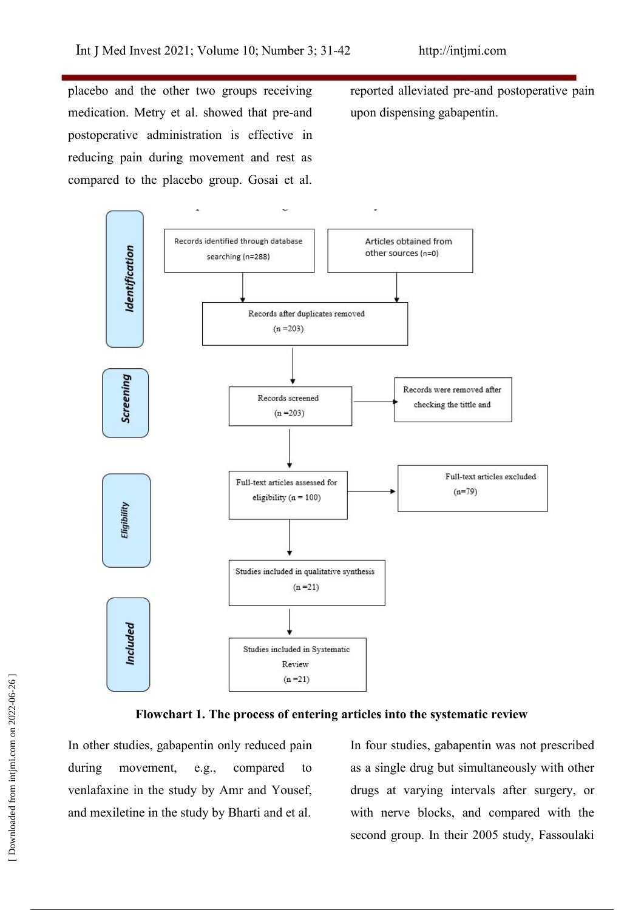placebo and the other two groups receiving medication. Metry et al. showed that pre-and postoperative administration is effective in reducing pain during movement and rest as compared to the placebo group. Gosai et al.

reported alleviated pre-and postoperative pain upon dispensing gabapentin.





In other studies, gabapentin only reduced pain venlafaxine in the study by Amr and Yousef, and mexiletine in the study by Bharti and et al.

during movement, e.g., compared to as a single drug but simultaneously with other In four studies, gabapentin was not prescribed drugs at varying intervals after surgery, or with nerve blocks, and compared with the Flowchart 1. The process of entering articles into the systematic review<br>
In other studies, gabapentin only reduced pain<br>
In four studies, gabapentin was not prescribed<br>
during movement, e.g., compared to as a single drug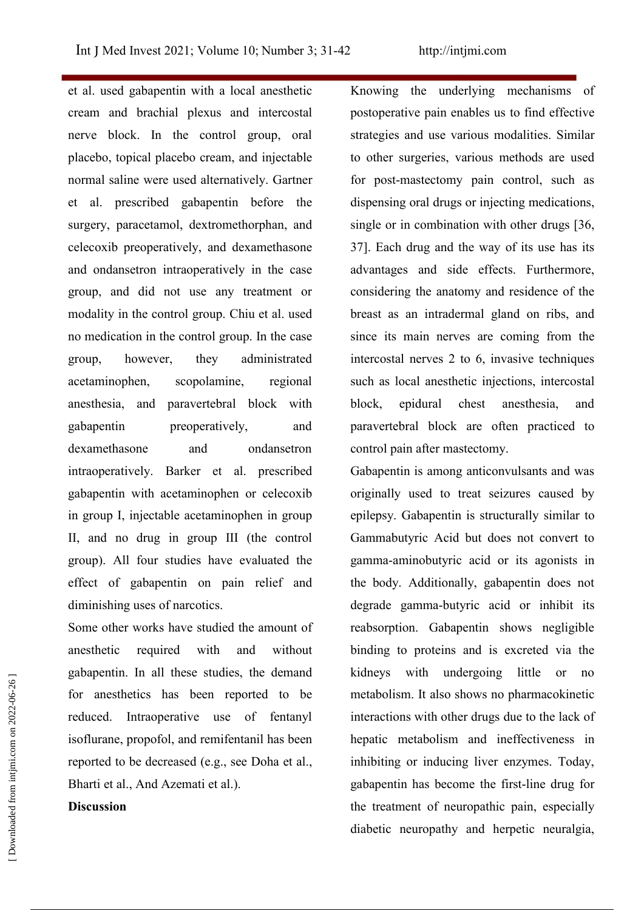et al. used gabapentin with a local anesthetic cream and brachial plexus and intercostal nerve block. In the control group, oral placebo, topical placebo cream, and injectable normal saline were used alternatively. Gartner et al. prescribed gabapentin before the surgery, paracetamol, dextromethorphan, and celecoxib preoperatively, and dexamethasone and ondansetron intraoperatively in the case group, and did not use any treatment or modality in the control group. Chiu et al. used no medication in the control group. In the case group, however, they administrated intercostal nerves 2 to 6, invasive techniques acetaminophen, scopolamine, regional anesthesia, and paravertebral block with gabapentin preoperatively, and paravertebral block are often practiced to dexamethasone and ondansetron control pain after mastectomy. intraoperatively. Barker et al. prescribed gabapentin with acetaminophen or celecoxib in group I, injectable acetaminophen in group II, and no drug in group III (the control group). All four studies have evaluated the effect of gabapentin on pain relief and diminishing uses of narcotics.

Some other works have studied the amount of anesthetic required with and without gabapentin. In all these studies, the demand for anesthetics has been reported to be reduced. Intraoperative use of fentanyl isoflurane, propofol, and remifentanil has been reported to be decreased (e.g., see Doha et al., Bharti et al., And Azemati et al.).

#### **Discussion**

Knowing the underlying mechanisms of postoperative pain enables us to find effective strategies and use various modalities. Similar to other surgeries, various methods are used for post-mastectomy pain control, such as dispensing oral drugs or injecting medications, single or in combination with other drugs [36, 37]. Each drug and the way of its use has its advantages and side effects. Furthermore, considering the anatomy and residence of the breast as an intradermal gland on ribs, and since its main nerves are coming from the such as local anesthetic injections, intercostal chest anesthesia, and

Gabapentin is among anticonvulsants and was originally used to treat seizures caused by epilepsy. Gabapentin is structurally similar to Gammabutyric Acid but does not convert to gamma-aminobutyric acid or its agonists in the body. Additionally, gabapentin does not degrade gamma-butyric acid or inhibit its reabsorption. Gabapentin shows negligible binding to proteins and is excreted via the kidneys with undergoing little or no metabolism. It also shows no pharmacokinetic interactions with other drugs due to the lack of hepatic metabolism and ineffectiveness in inhibiting or inducing liver enzymes. Today, gabapentin has become the first-line drug for the treatment of neuropathic pain, especially gaoapentum. In all these studies, the defination is transported to be metabolism. It also shows no pharmacokinetic reduced. Intraoperative use of fentanyl interactions with other drugs due to the lack of isoflurane, propof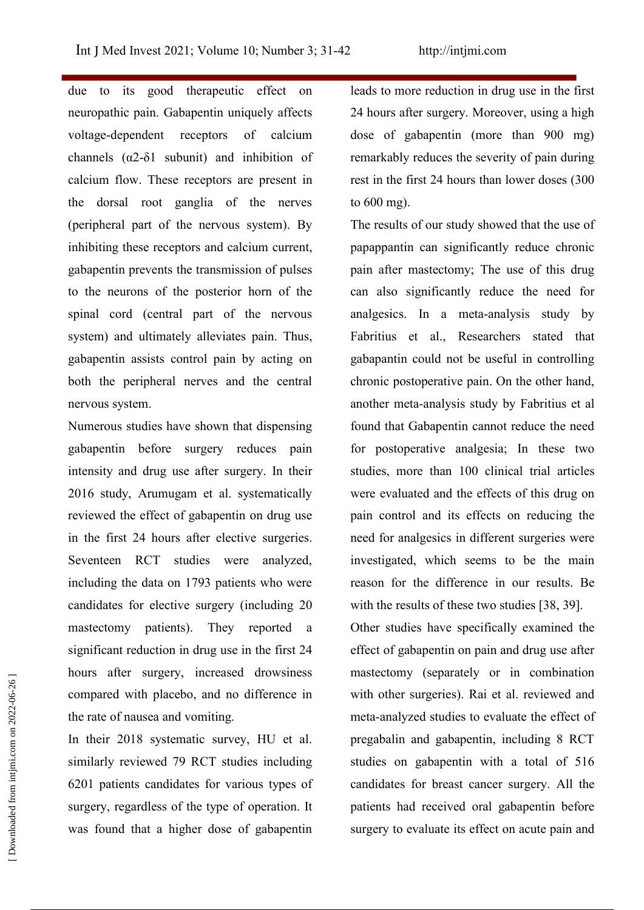due to its good therapeutic effect on neuropathic pain. Gabapentin uniquely affects voltage-dependent receptors of calcium channels  $(\alpha 2-\delta 1)$  subunit) and inhibition of calcium flow. These receptors are present in the dorsal root ganglia of the nerves (peripheral part of the nervous system). By inhibiting these receptors and calcium current, gabapentin prevents the transmission of pulses to the neurons of the posterior horn of the spinal cord (central part of the nervous system) and ultimately alleviates pain. Thus, gabapentin assists control pain by acting on both the peripheral nerves and the central nervous system.

Numerous studies have shown that dispensing gabapentin before surgery reduces pain intensity and drug use after surgery. In their 2016 study, Arumugam et al. systematically reviewed the effect of gabapentin on drug use in the first 24 hours after elective surgeries. Seventeen RCT studies were analyzed, including the data on 1793 patients who were candidates for elective surgery (including 20 mastectomy patients). They reported a significant reduction in drug use in the first 24 hours after surgery, increased drowsiness compared with placebo, and no difference in the rate of nausea and vomiting.

In their 2018 systematic survey, HU et al. similarly reviewed 79 RCT studies including 6201 patients candidates for various types of surgery, regardless of the type of operation. It was found that a higher dose of gabapentin surgery to evaluate its effect on acute pain and

leads to more reduction in drug use in the first 24 hours after surgery. Moreover, using a high dose of gabapentin (more than 900 mg) remarkably reduces the severity of pain during rest in the first 24 hours than lower doses (300) to 600 mg).

The results of our study showed that the use of papappantin can significantly reduce chronic pain after mastectomy; The use of this drug can also significantly reduce the need for analgesics. In a meta-analysis study by Fabritius et al., Researchers stated that gabapantin could not be useful in controlling chronic postoperative pain. On the other hand, another meta-analysis study by Fabritius et al found that Gabapentin cannot reduce the need for postoperative analgesia; In these two studies, more than 100 clinical trial articles were evaluated and the effects of this drug on pain control and its effects on reducing the need for analgesics in different surgeries were investigated, which seems to be the main reason for the difference in our results. Be with the results of these two studies [38, 39]. Other studies have specifically examined the effect of gabapentin on pain and drug use after mastectomy (separately or in combination with other surgeries). Rai et al. reviewed and meta-analyzed studies to evaluate the effect of pregabalin and gabapentin, including 8 RCT studies on gabapentin with a total of 516 candidates for breast cancer surgery. All the patients had received oral gabapentin before sure is the surgery, increased drowsmess<br>
ensistency (separately or in combination<br>
compared with placebo, and no difference in<br>
the rate of nausea and vomiting.<br>
In their 2018 systematic survey, HU et al.<br>
in their 2018 s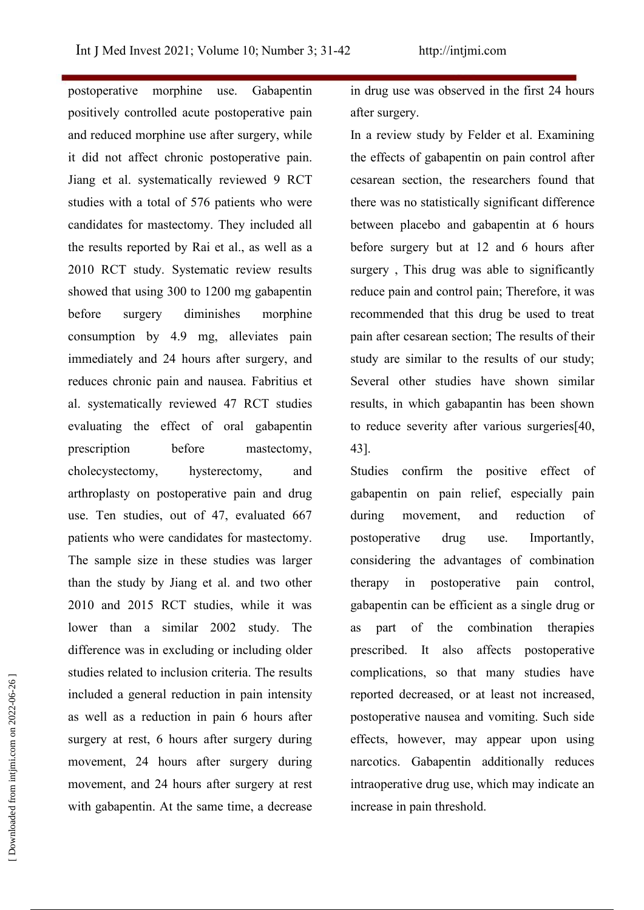postoperative morphine use. Gabapentin positively controlled acute postoperative pain and reduced morphine use after surgery, while it did not affect chronic postoperative pain. Jiang et al. systematically reviewed 9 RCT studies with a total of 576 patients who were candidates for mastectomy. They included all the results reported by Rai et al., as well as a 2010 RCT study. Systematic review results showed that using 300 to 1200 mg gabapentin before surgery diminishes morphine recommended that this drug be used to treat consumption by 4.9 mg, alleviates pain immediately and 24 hours after surgery, and reduces chronic pain and nausea. Fabritius et al. systematically reviewed 47 RCT studies evaluating the effect of oral gabapentin prescription before mastectomy, cholecystectomy, hysterectomy, and arthroplasty on postoperative pain and drug use. Ten studies, out of 47, evaluated 667 during patients who were candidates for mastectomy. The sample size in these studies was larger than the study by Jiang et al. and two other 2010 and 2015 RCT studies, while it was lower than a similar 2002 study. The as part of difference was in excluding or including older studies related to inclusion criteria. The results included a general reduction in pain intensity as well as a reduction in pain 6 hours after surgery at rest, 6 hours after surgery during movement, 24 hours after surgery during movement, and 24 hours after surgery at rest with gabapentin. At the same time, a decrease increase in pain threshold. studies related to inclusion criteria. The results<br>
included a general reduction in pain intensity<br>
as well as a reduction in pain 6 hours after<br>
surgery at rest, 6 hours after surgery during<br>
movement, 24 hours after surg

in drug use was observed in the first 24 hours after surgery.

In a review study by Felder et al. Examining the effects of gabapentin on pain control after cesarean section, the researchers found that there was no statistically significant difference between placebo and gabapentin at 6 hours before surgery but at 12 and 6 hours after surgery , This drug was able to significantly reduce pain and control pain; Therefore, it was pain after cesarean section; The results of their study are similar to the results of our study; Several other studies have shown similar results, in which gabapantin has been shown to reduce severity after various surgeries $[40, 10]$ 3].

Studies confirm the positive effect of gabapentin on pain relief, especially pain movement, and reduction of postoperative drug use. Importantly, considering the advantages of combination in postoperative pain control, gabapentin can be efficient as a single drug or the combination therapies prescribed. It also affects postoperative complications, so that many studies have reported decreased, or at least not increased, postoperative nausea and vomiting. Such side effects, however, may appear upon using narcotics. Gabapentin additionally reduces intraoperative drug use, which may indicate an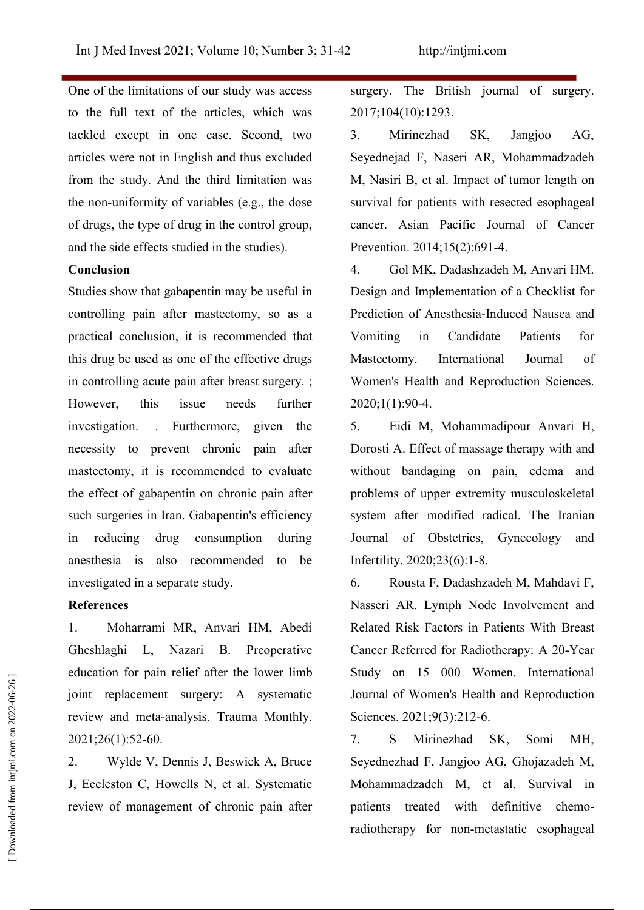One of the limitations of our study was access to the full text of the articles, which was tackled except in one case. Second, two articles were not in English and thus excluded from the study. And the third limitation was the non-uniformity of variables (e.g., the dose of drugs, the type of drug in the control group, and the side effects studied in the studies).

#### **Conclusion**

Studies show that gabapentin may be useful in controlling pain after mastectomy, so as a practical conclusion, it is recommended that this drug be used as one of the effective drugs in controlling acute pain after breast surgery. ; However, this issue needs further investigation. . Furthermore, given the 5. necessity to prevent chronic pain after mastectomy, it is recommended to evaluate the effect of gabapentin on chronic pain after such surgeries in Iran. Gabapentin's efficiency in reducing drug consumption during Journal of Obstetrics, Gynecology and anesthesia is also recommended to be investigated in a separate study.

## **References**

1. Moharrami MR, Anvari HM, Abedi Gheshlaghi L, Nazari B. Preoperative education for pain relief after the lower limb joint replacement surgery: A systematic review and meta-analysis. Trauma Monthly. 2021;26(1):52-60.

2. Wylde V, Dennis J, Beswick A, Bruce J, Eccleston C, Howells N, et al. Systematic review of management of chronic pain after surgery. The British journal of surgery. 2017;104(10):1293.

3. Mirinezhad SK, Jangjoo AG, Seyednejad F, Naseri AR, Mohammadzadeh M, Nasiri B, et al. Impact of tumor length on survival for patients with resected esophageal cancer. Asian Pacific Journal of Cancer Prevention. 2014;15(2):691-4.

. Gol MK, Dadashzadeh M, Anvari HM. Design and Implementation of a Checklist for Prediction of Anesthesia-Induced Nausea and in Candidate Patients for Mastectomy. International Journal of Women's Health and Reproduction Sciences.  $2020:1(1):90-4.$ 

5. Eidi M, Mohammadipour Anvari H, Dorosti A. Effect of massage therapy with and without bandaging on pain, edema and problems of upper extremity musculoskeletal system after modified radical. The Iranian Infertility. 2020;23(6):1-8.

6. Rousta F, Dadashzadeh M, Mahdavi F, Nasseri AR. Lymph Node Involvement and Related Risk Factors in Patients With Breast Cancer Referred for Radiotherapy: A 20-Year Study on 15 000 Women. International Journal of Women's Health and Reproduction Sciences. 2021;9(3):212-6.

7. S Mirinezhad SK, Somi MH, Seyednezhad F, Jangjoo AG, Ghojazadeh M, Mohammadzadeh M, et al. Survival in patients treated with definitive chemoeducation for pain felter atter the lower limb<br>
joint replacement surgery: A systematic Journal of Women's Health and Reproduction<br>
review and meta-analysis. Trauma Monthly.<br>
2. 2021;26(1):52-60.<br>
2. Wylde V, Dennis J, Bes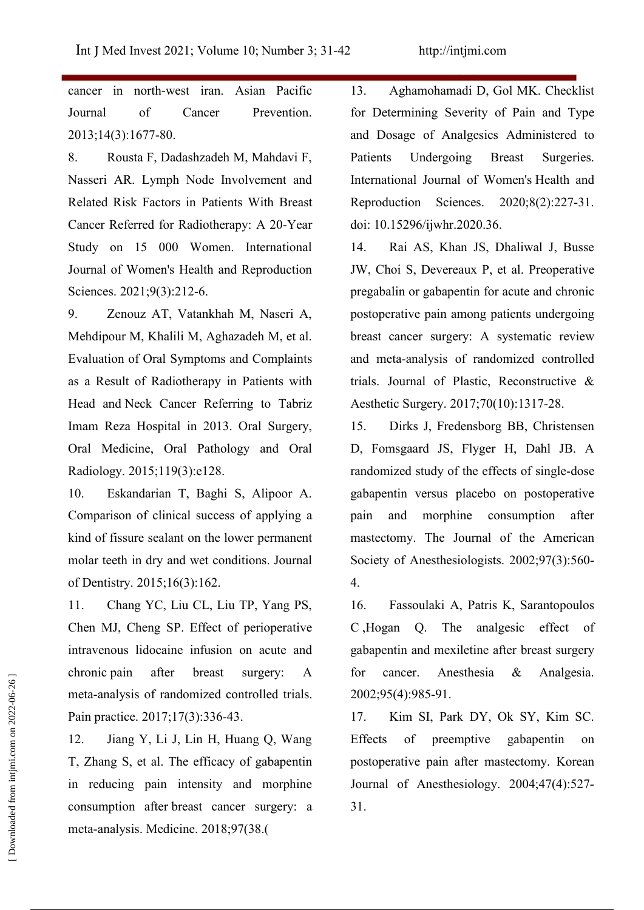cancer in north-west iran. Asian Pacific Journal of Cancer Prevention. 2013;14(3):1677-80.

8. Rousta F, Dadashzadeh M, Mahdavi F, Nasseri AR. Lymph Node Involvement and Related Risk Factors in Patients With Breast Cancer Referred for Radiotherapy: A 20-Year Study on 15 000 Women. International Journal of Women's Health and Reproduction Sciences. 2021;9(3):212-6.

9. Zenouz AT, Vatankhah M, Naseri A, Mehdipour M, Khalili M, Aghazadeh M, et al. Evaluation of Oral Symptoms and Complaints as a Result of Radiotherapy in Patients with Head and Neck Cancer Referring to Tabriz Imam Reza Hospital in 2013. Oral Surgery, 15. Oral Medicine, Oral Pathology and Oral Radiology. 2015;119(3):e128.

10. Eskandarian T, Baghi S, Alipoor A. Comparison of clinical success of applying a kind of fissure sealant on the lower permanent molar teeth in dry and wet conditions. Journal of Dentistry. 2015;16(3):162.

11. Chang YC, Liu CL, Liu TP, Yang PS, Chen MJ, Cheng SP. Effect of perioperative C, Hogan Q. intravenous lidocaine infusion on acute and chronic pain after breast surgery: A for cancer. Anesthesia meta‐analysis of randomized controlled trials. Pain practice. 2017;17(3):336-43.

12. Jiang Y, Li J, Lin H, Huang Q, Wang T, Zhang S, et al. The efficacy of gabapentin in reducing pain intensity and morphine consumption after breast cancer surgery: a meta-analysis. Medicine. 2018;97(38.( enfonce pain atter breast surgery: A for<br>meta-analysis of randomized controlled trials. 200<br>Pain practice. 2017;17(3):336-43. 17.<br>12. Jiang Y, Li J, Lin H, Huang Q, Wang Eff<br>T, Zhang S, et al. The efficacy of gabapentin po

13. Aghamohamadi D, Gol MK. Checklist for Determining Severity of Pain and Type and Dosage of Analgesics Administered to Undergoing Breast Surgeries. International Journal of Women's Health and Sciences. 2020;8(2):227-31. doi: 10.15296/ijwhr.2020.36.

Rai AS, Khan JS, Dhaliwal J, Busse JW, Choi S, Devereaux P, et al. Preoperative pregabalin or gabapentin for acute and chronic postoperative pain among patients undergoing breast cancer surgery: A systematic review and meta-analysis of randomized controlled trials. Journal of Plastic, Reconstructive & Aesthetic Surgery.2017;70(10):1317-28.

Dirks J, Fredensborg BB, Christensen D, Fomsgaard JS, Flyger H, Dahl JB. A randomized study of the effects of single-dose gabapentin versus placebo on postoperative morphine consumption after mastectomy. The Journal of the American Society of Anesthesiologists. 2002;97(3):560-  $\overline{4}$ .

16. Fassoulaki A, Patris K, Sarantopoulos The analgesic effect of gabapentin and mexiletine after breast surgery  $&$  Analgesia. 2002;95(4):985-91.

17. Kim SI, Park DY, Ok SY, Kim SC. of preemptive gabapentin on postoperative pain after mastectomy. Korean Journal of Anesthesiology.  $2004;47(4):527$ -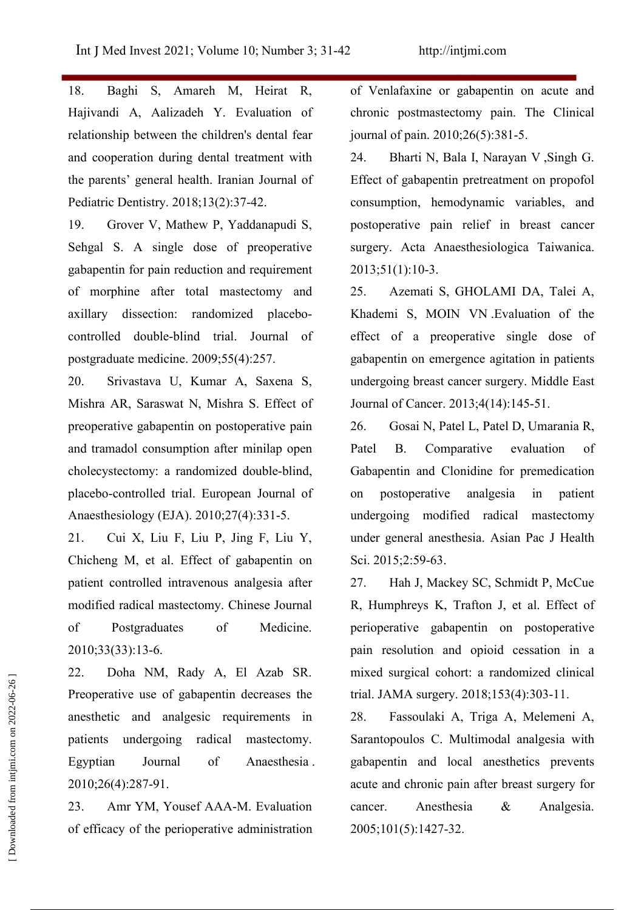18. Baghi S, Amareh M, Heirat R, Hajivandi A, Aalizadeh Y. Evaluation of relationship between the children's dental fear and cooperation during dental treatment with 24. the parents' general health. Iranian Journal of Pediatric Dentistry. 2018;13(2):37-42.

19. Grover V, Mathew P, Yaddanapudi S, Sehgal S. A single dose of preoperative gabapentin for pain reduction and requirement of morphine after total mastectomy and axillary dissection: randomized placebo controlled double-blind trial. Journal of postgraduate medicine.  $2009;55(4):257$ .

20. Srivastava U, Kumar A, Saxena S, Mishra AR, Saraswat N, Mishra S. Effect of preoperative gabapentin on postoperative pain 26. and tramadol consumption after minilap open cholecystectomy: a randomized double-blind, placebo-controlled trial. European Journal of Anaesthesiology (EJA). 2010:27(4):331-5.

21. Cui X, Liu F, Liu P, Jing F, Liu Y, Chicheng M, et al. Effect of gabapentin on patient controlled intravenous analgesia after 27. modified radical mastectomy. Chinese Journal of Postgraduates of Medicine. 2010;33(33):13-6.

22. Doha NM, Rady A, El Azab SR. Preoperative use of gabapentin decreases the anesthetic and analgesic requirements in patients undergoing radical mastectomy. 2010;26(4):287-91. 22. Dona NN, Kaay A, El Azao SK. Finxed surgical conor<br>
Preoperative use of gabapentin decreases the trial. JAMA surgery.<br>
anesthetic and analgesic requirements in 28. Fassoulaki A,<br>
patients undergoing radical mastectomy

23. Amr YM, Yousef AAA-M. Evaluation cancer. Anesthesia of efficacy of the perioperative administration  $2005;101(5):1427-32$ .

of Venlafaxine or gabapentin on acute and chronic postmastectomy pain. The Clinical journal of pain. 2010;26(5):381-5.

2. Bharti N, Bala I, Narayan V ,Singh G. Effect of gabapentin pretreatment on propofol consumption, hemodynamic variables, and postoperative pain relief in breast cancer surgery. Acta Anaesthesiologica Taiwanica. 2013;51(1):10-3.

Azemati S, GHOLAMI DA, Talei A, Khademi S, MOIN VN .Evaluation of the effect of a preoperative single dose of gabapentin on emergence agitation in patients undergoing breast cancer surgery. Middle East Journal of Cancer. 2013;4(14):145-51.

26. Gosai N, Patel L, Patel D, Umarania R, Comparative evaluation of Gabapentin and Clonidine for premedication on postoperative analgesia in patient undergoing modified radical mastectomy under general anesthesia. Asian Pac J Health Sci. 2015;2:59-63.

Hah J, Mackey SC, Schmidt P, McCue R, Humphreys K, Trafton J, et al. Effect of perioperative gabapentin on postoperative pain resolution and opioid cessation in a mixed surgical cohort: a randomized clinical trial. JAMA surgery. 2018;153(4):303-11.

Egyptian Journal of Anaesthesia . gabapentin and local anesthetics prevents 28. Fassoulaki A, Triga A, Melemeni A, Sarantopoulos C. Multimodal analgesia with acute and chronic pain after breast surgery for & Analgesia.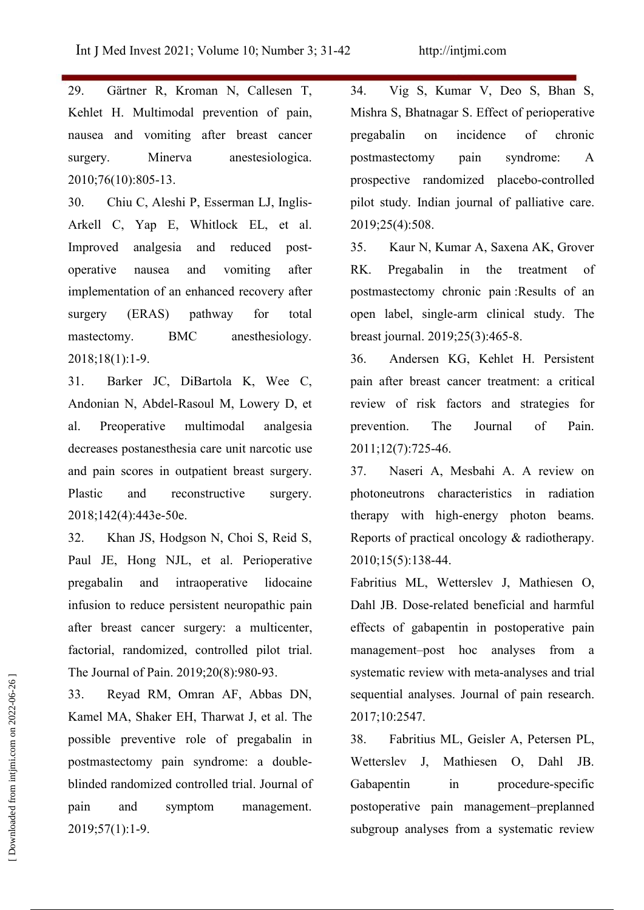29. Gärtner R, Kroman N, Callesen T, 34. Kehlet H. Multimodal prevention of pain, nausea and vomiting after breast cancer surgery. Minerva anestesiologica. 2010;76(10):805-13.

30. Chiu C, Aleshi P, Esserman LJ, Inglis- Arkell C, Yap E, Whitlock EL, et al. Improved analgesia and reduced post-<br>operative nausea and vomiting after RK. implementation of an enhanced recovery after surgery (ERAS) pathway for total mastectomy. BMC anesthesiology. 2018;18(1):1-9.

31. Barker JC, DiBartola K, Wee C, Andonian N, Abdel-Rasoul M, Lowery D, et al. Preoperative multimodal analgesia decreases postanesthesia care unit narcotic use and pain scores in outpatient breast surgery. Plastic and reconstructive surgery. 2018:142(4):443e-50e.

32. Khan JS, Hodgson N, Choi S, Reid S, Paul JE, Hong NJL, et al. Perioperative pregabalin and intraoperative lidocaine infusion to reduce persistent neuropathic pain after breast cancer surgery: a multicenter, factorial, randomized, controlled pilot trial. The Journal of Pain. 2019;20(8):980-93.

33. Reyad RM, Omran AF, Abbas DN, Kamel MA, Shaker EH, Tharwat J, et al. The possible preventive role of pregabalin in postmastectomy pain syndrome: a double blinded randomized controlled trial. Journal of pain and symptom management. 2019;57(1):1-9. Substitute review with meta-analyses and that<br>
33. Reyad RM, Omran AF, Abbas DN,<br>
83. Reyad RM, Omran AF, Abbas DN,<br>
83. Fabritias ML, Geisler A, Petersen PL,<br>
possible preventive role of pregabalin in<br>
88. Fabritias ML, G

Vig S, Kumar V, Deo S, Bhan S, Mishra S, Bhatnagar S. Effect of perioperative pregabalin on incidence of chronic postmastectomy pain syndrome: A prospective randomized placebo-controlled pilot study. Indian journal of palliative care. 2019;25(4):508.

35. Kaur N, Kumar A, Saxena AK, Grover Pregabalin in the treatment of postmastectomy chronic pain :Results of an open label, single‐arm clinical study. The breast journal. 2019;25(3):465-8.

36. Andersen KG, Kehlet H. Persistent pain after breast cancer treatment: a critical review of risk factors and strategies for prevention. The Journal of Pain. 2011;12(7):725-6.

37. Naseri A, Mesbahi A. A review on photoneutrons characteristics in radiation therapy with high-energy photon beams. Reports of practical oncology & radiotherapy.  $2010;15(5):138-44.$ 

Fabritius ML, Wetterslev J, Mathiesen O, Dahl JB. Dose-related beneficial and harmful effects of gabapentin in postoperative pain management–post hoc analyses from a systematic review with meta-analyses and trial sequential analyses. Journal of pain research. 2017;10:257.

38. Fabritius ML, Geisler A, Petersen PL, Mathiesen O, Dahl JB. in procedure-specific postoperative pain management–preplanned